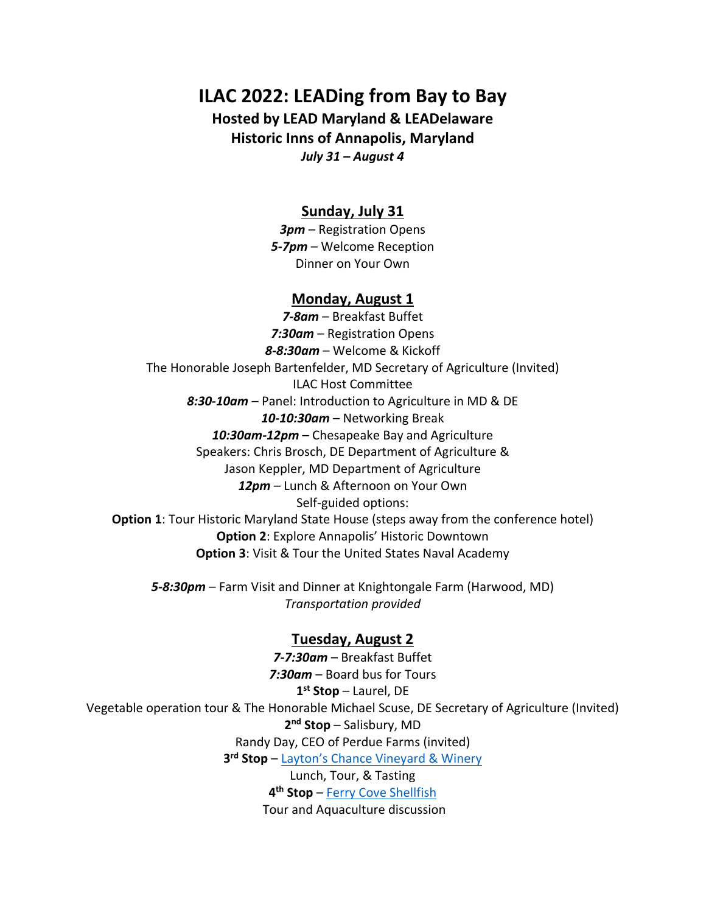# **ILAC 2022: LEADing from Bay to Bay**

**Hosted by LEAD Maryland & LEADelaware Historic Inns of Annapolis, Maryland** *July 31 – August 4*

### **Sunday, July 31**

*3pm* – Registration Opens *5-7pm* – Welcome Reception Dinner on Your Own

#### **Monday, August 1**

*7-8am* – Breakfast Buffet *7:30am* – Registration Opens *8-8:30am* – Welcome & Kickoff The Honorable Joseph Bartenfelder, MD Secretary of Agriculture (Invited) ILAC Host Committee *8:30-10am* – Panel: Introduction to Agriculture in MD & DE *10-10:30am* – Networking Break *10:30am-12pm* – Chesapeake Bay and Agriculture Speakers: Chris Brosch, DE Department of Agriculture & Jason Keppler, MD Department of Agriculture *12pm* – Lunch & Afternoon on Your Own Self-guided options: **Option 1**: Tour Historic Maryland State House (steps away from the conference hotel) **Option 2**: Explore Annapolis' Historic Downtown **Option 3**: Visit & Tour the United States Naval Academy

*5-8:30pm* – Farm Visit and Dinner at Knightongale Farm (Harwood, MD) *Transportation provided*

#### **Tuesday, August 2**

*7-7:30am* – Breakfast Buffet *7:30am* – Board bus for Tours **1 st Stop** – Laurel, DE Vegetable operation tour & The Honorable Michael Scuse, DE Secretary of Agriculture (Invited) **2 nd Stop** – Salisbury, MD Randy Day, CEO of Perdue Farms (invited) **3 rd Stop** – [Layton's Chance Vineyard & Winery](https://www.laytonschance.com/) Lunch, Tour, & Tasting **4 th Stop** – [Ferry Cove Shellfish](https://www.ferrycove.org/) Tour and Aquaculture discussion